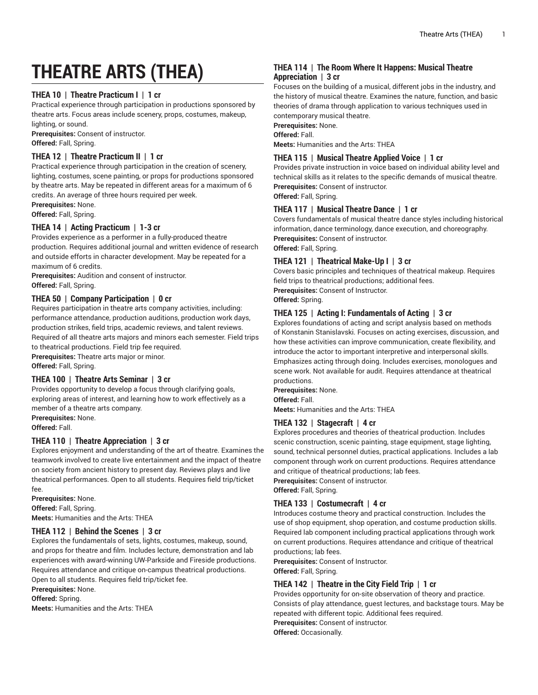# **THEATRE ARTS (THEA)**

# **THEA 10 | Theatre Practicum I | 1 cr**

Practical experience through participation in productions sponsored by theatre arts. Focus areas include scenery, props, costumes, makeup, lighting, or sound.

**Prerequisites:** Consent of instructor. **Offered:** Fall, Spring.

### **THEA 12 | Theatre Practicum II | 1 cr**

Practical experience through participation in the creation of scenery, lighting, costumes, scene painting, or props for productions sponsored by theatre arts. May be repeated in different areas for a maximum of 6 credits. An average of three hours required per week.

**Prerequisites:** None.

**Offered:** Fall, Spring.

# **THEA 14 | Acting Practicum | 1-3 cr**

Provides experience as a performer in a fully-produced theatre production. Requires additional journal and written evidence of research and outside efforts in character development. May be repeated for a maximum of 6 credits.

**Prerequisites:** Audition and consent of instructor. **Offered:** Fall, Spring.

# **THEA 50 | Company Participation | 0 cr**

Requires participation in theatre arts company activities, including: performance attendance, production auditions, production work days, production strikes, field trips, academic reviews, and talent reviews. Required of all theatre arts majors and minors each semester. Field trips to theatrical productions. Field trip fee required.

**Prerequisites:** Theatre arts major or minor. **Offered:** Fall, Spring.

## **THEA 100 | Theatre Arts Seminar | 3 cr**

Provides opportunity to develop a focus through clarifying goals, exploring areas of interest, and learning how to work effectively as a member of a theatre arts company.

**Prerequisites:** None. **Offered:** Fall.

# **THEA 110 | Theatre Appreciation | 3 cr**

Explores enjoyment and understanding of the art of theatre. Examines the teamwork involved to create live entertainment and the impact of theatre on society from ancient history to present day. Reviews plays and live theatrical performances. Open to all students. Requires field trip/ticket fee.

**Prerequisites:** None. **Offered:** Fall, Spring. **Meets:** Humanities and the Arts: THEA

# **THEA 112 | Behind the Scenes | 3 cr**

Explores the fundamentals of sets, lights, costumes, makeup, sound, and props for theatre and film. Includes lecture, demonstration and lab experiences with award-winning UW-Parkside and Fireside productions. Requires attendance and critique on-campus theatrical productions. Open to all students. Requires field trip/ticket fee.

**Prerequisites:** None.

**Offered:** Spring.

**Meets:** Humanities and the Arts: THEA

# **THEA 114 | The Room Where It Happens: Musical Theatre Appreciation | 3 cr**

Focuses on the building of a musical, different jobs in the industry, and the history of musical theatre. Examines the nature, function, and basic theories of drama through application to various techniques used in contemporary musical theatre.

**Prerequisites:** None.

**Offered:** Fall.

**Meets:** Humanities and the Arts: THEA

#### **THEA 115 | Musical Theatre Applied Voice | 1 cr**

Provides private instruction in voice based on individual ability level and technical skills as it relates to the specific demands of musical theatre. **Prerequisites:** Consent of instructor. **Offered:** Fall, Spring.

# **THEA 117 | Musical Theatre Dance | 1 cr**

Covers fundamentals of musical theatre dance styles including historical information, dance terminology, dance execution, and choreography. **Prerequisites:** Consent of instructor. **Offered:** Fall, Spring.

#### **THEA 121 | Theatrical Make-Up I | 3 cr**

Covers basic principles and techniques of theatrical makeup. Requires field trips to theatrical productions; additional fees. **Prerequisites:** Consent of Instructor.

**Offered:** Spring.

#### **THEA 125 | Acting I: Fundamentals of Acting | 3 cr**

Explores foundations of acting and script analysis based on methods of Konstanin Stanislavski. Focuses on acting exercises, discussion, and how these activities can improve communication, create flexibility, and introduce the actor to important interpretive and interpersonal skills. Emphasizes acting through doing. Includes exercises, monologues and scene work. Not available for audit. Requires attendance at theatrical productions.

**Prerequisites:** None.

**Offered:** Fall.

**Meets:** Humanities and the Arts: THEA

# **THEA 132 | Stagecraft | 4 cr**

Explores procedures and theories of theatrical production. Includes scenic construction, scenic painting, stage equipment, stage lighting, sound, technical personnel duties, practical applications. Includes a lab component through work on current productions. Requires attendance and critique of theatrical productions; lab fees.

**Prerequisites:** Consent of instructor.

**Offered:** Fall, Spring.

#### **THEA 133 | Costumecraft | 4 cr**

Introduces costume theory and practical construction. Includes the use of shop equipment, shop operation, and costume production skills. Required lab component including practical applications through work on current productions. Requires attendance and critique of theatrical productions; lab fees.

**Prerequisites:** Consent of Instructor.

**Offered:** Fall, Spring.

# **THEA 142 | Theatre in the City Field Trip | 1 cr**

Provides opportunity for on-site observation of theory and practice. Consists of play attendance, guest lectures, and backstage tours. May be repeated with different topic. Additional fees required. **Prerequisites:** Consent of instructor. **Offered:** Occasionally.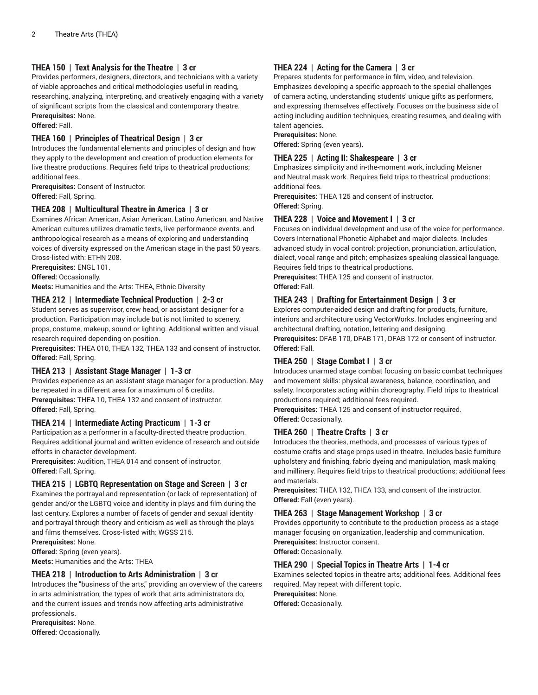# **THEA 150 | Text Analysis for the Theatre | 3 cr**

Provides performers, designers, directors, and technicians with a variety of viable approaches and critical methodologies useful in reading, researching, analyzing, interpreting, and creatively engaging with a variety of significant scripts from the classical and contemporary theatre. **Prerequisites:** None.

**Offered:** Fall.

### **THEA 160 | Principles of Theatrical Design | 3 cr**

Introduces the fundamental elements and principles of design and how they apply to the development and creation of production elements for live theatre productions. Requires field trips to theatrical productions; additional fees.

**Prerequisites:** Consent of Instructor. **Offered:** Fall, Spring.

#### **THEA 208 | Multicultural Theatre in America | 3 cr**

Examines African American, Asian American, Latino American, and Native American cultures utilizes dramatic texts, live performance events, and anthropological research as a means of exploring and understanding voices of diversity expressed on the American stage in the past 50 years. Cross-listed with: ETHN 208.

**Prerequisites:** ENGL 101.

**Offered:** Occasionally.

**Meets:** Humanities and the Arts: THEA, Ethnic Diversity

# **THEA 212 | Intermediate Technical Production | 2-3 cr**

Student serves as supervisor, crew head, or assistant designer for a production. Participation may include but is not limited to scenery, props, costume, makeup, sound or lighting. Additional written and visual research required depending on position.

**Prerequisites:** THEA 010, THEA 132, THEA 133 and consent of instructor. **Offered:** Fall, Spring.

#### **THEA 213 | Assistant Stage Manager | 1-3 cr**

Provides experience as an assistant stage manager for a production. May be repeated in a different area for a maximum of 6 credits. **Prerequisites:** THEA 10, THEA 132 and consent of instructor. **Offered:** Fall, Spring.

# **THEA 214 | Intermediate Acting Practicum | 1-3 cr**

Participation as a performer in a faculty-directed theatre production. Requires additional journal and written evidence of research and outside efforts in character development.

**Prerequisites:** Audition, THEA 014 and consent of instructor. **Offered:** Fall, Spring.

#### **THEA 215 | LGBTQ Representation on Stage and Screen | 3 cr**

Examines the portrayal and representation (or lack of representation) of gender and/or the LGBTQ voice and identity in plays and film during the last century. Explores a number of facets of gender and sexual identity and portrayal through theory and criticism as well as through the plays and films themselves. Cross-listed with: WGSS 215.

**Prerequisites:** None.

**Offered:** Spring (even years).

**Meets:** Humanities and the Arts: THEA

#### **THEA 218 | Introduction to Arts Administration | 3 cr**

Introduces the "business of the arts," providing an overview of the careers in arts administration, the types of work that arts administrators do, and the current issues and trends now affecting arts administrative professionals.

**Prerequisites:** None.

**Offered:** Occasionally.

# **THEA 224 | Acting for the Camera | 3 cr**

Prepares students for performance in film, video, and television. Emphasizes developing a specific approach to the special challenges of camera acting, understanding students' unique gifts as performers, and expressing themselves effectively. Focuses on the business side of acting including audition techniques, creating resumes, and dealing with talent agencies.

#### **Prerequisites:** None.

**Offered:** Spring (even years).

#### **THEA 225 | Acting II: Shakespeare | 3 cr**

Emphasizes simplicity and in-the-moment work, including Meisner and Neutral mask work. Requires field trips to theatrical productions; additional fees.

**Prerequisites:** THEA 125 and consent of instructor. **Offered:** Spring.

#### **THEA 228 | Voice and Movement I | 3 cr**

Focuses on individual development and use of the voice for performance. Covers International Phonetic Alphabet and major dialects. Includes advanced study in vocal control; projection, pronunciation, articulation, dialect, vocal range and pitch; emphasizes speaking classical language. Requires field trips to theatrical productions.

**Prerequisites:** THEA 125 and consent of instructor.

**Offered:** Fall.

#### **THEA 243 | Drafting for Entertainment Design | 3 cr**

Explores computer-aided design and drafting for products, furniture, interiors and architecture using VectorWorks. Includes engineering and architectural drafting, notation, lettering and designing.

**Prerequisites:** DFAB 170, DFAB 171, DFAB 172 or consent of instructor. **Offered:** Fall.

#### **THEA 250 | Stage Combat I | 3 cr**

Introduces unarmed stage combat focusing on basic combat techniques and movement skills: physical awareness, balance, coordination, and safety. Incorporates acting within choreography. Field trips to theatrical productions required; additional fees required.

**Prerequisites:** THEA 125 and consent of instructor required. **Offered:** Occasionally.

#### **THEA 260 | Theatre Crafts | 3 cr**

Introduces the theories, methods, and processes of various types of costume crafts and stage props used in theatre. Includes basic furniture upholstery and finishing, fabric dyeing and manipulation, mask making and millinery. Requires field trips to theatrical productions; additional fees and materials.

**Prerequisites:** THEA 132, THEA 133, and consent of the instructor. **Offered:** Fall (even years).

#### **THEA 263 | Stage Management Workshop | 3 cr**

Provides opportunity to contribute to the production process as a stage manager focusing on organization, leadership and communication. **Prerequisites:** Instructor consent. **Offered:** Occasionally.

#### **THEA 290 | Special Topics in Theatre Arts | 1-4 cr**

Examines selected topics in theatre arts; additional fees. Additional fees required. May repeat with different topic.

**Prerequisites:** None.

**Offered:** Occasionally.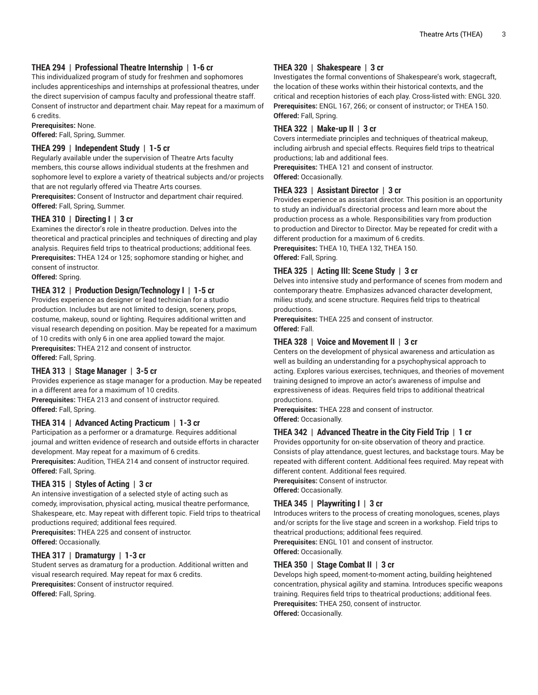# **THEA 294 | Professional Theatre Internship | 1-6 cr**

This individualized program of study for freshmen and sophomores includes apprenticeships and internships at professional theatres, under the direct supervision of campus faculty and professional theatre staff. Consent of instructor and department chair. May repeat for a maximum of 6 credits.

**Prerequisites:** None.

**Offered:** Fall, Spring, Summer.

# **THEA 299 | Independent Study | 1-5 cr**

Regularly available under the supervision of Theatre Arts faculty members, this course allows individual students at the freshmen and sophomore level to explore a variety of theatrical subjects and/or projects that are not regularly offered via Theatre Arts courses.

**Prerequisites:** Consent of Instructor and department chair required. **Offered:** Fall, Spring, Summer.

# **THEA 310 | Directing I | 3 cr**

Examines the director's role in theatre production. Delves into the theoretical and practical principles and techniques of directing and play analysis. Requires field trips to theatrical productions; additional fees. **Prerequisites:** THEA 124 or 125; sophomore standing or higher, and consent of instructor.

**Offered:** Spring.

# **THEA 312 | Production Design/Technology I | 1-5 cr**

Provides experience as designer or lead technician for a studio production. Includes but are not limited to design, scenery, props, costume, makeup, sound or lighting. Requires additional written and visual research depending on position. May be repeated for a maximum of 10 credits with only 6 in one area applied toward the major. **Prerequisites:** THEA 212 and consent of instructor. **Offered:** Fall, Spring.

# **THEA 313 | Stage Manager | 3-5 cr**

Provides experience as stage manager for a production. May be repeated in a different area for a maximum of 10 credits.

**Prerequisites:** THEA 213 and consent of instructor required. **Offered:** Fall, Spring.

#### **THEA 314 | Advanced Acting Practicum | 1-3 cr**

Participation as a performer or a dramaturge. Requires additional journal and written evidence of research and outside efforts in character development. May repeat for a maximum of 6 credits.

**Prerequisites:** Audition, THEA 214 and consent of instructor required. **Offered:** Fall, Spring.

#### **THEA 315 | Styles of Acting | 3 cr**

An intensive investigation of a selected style of acting such as comedy, improvisation, physical acting, musical theatre performance, Shakespeare, etc. May repeat with different topic. Field trips to theatrical productions required; additional fees required.

**Prerequisites:** THEA 225 and consent of instructor. **Offered:** Occasionally.

#### **THEA 317 | Dramaturgy | 1-3 cr**

Student serves as dramaturg for a production. Additional written and visual research required. May repeat for max 6 credits. **Prerequisites:** Consent of instructor required. **Offered:** Fall, Spring.

## **THEA 320 | Shakespeare | 3 cr**

Investigates the formal conventions of Shakespeare's work, stagecraft, the location of these works within their historical contexts, and the critical and reception histories of each play. Cross-listed with: ENGL 320. **Prerequisites:** ENGL 167, 266; or consent of instructor; or THEA 150. **Offered:** Fall, Spring.

#### **THEA 322 | Make-up II | 3 cr**

Covers intermediate principles and techniques of theatrical makeup, including airbrush and special effects. Requires field trips to theatrical productions; lab and additional fees.

**Prerequisites:** THEA 121 and consent of instructor. **Offered:** Occasionally.

#### **THEA 323 | Assistant Director | 3 cr**

Provides experience as assistant director. This position is an opportunity to study an individual's directorial process and learn more about the production process as a whole. Responsibilities vary from production to production and Director to Director. May be repeated for credit with a different production for a maximum of 6 credits.

**Prerequisites:** THEA 10, THEA 132, THEA 150. **Offered:** Fall, Spring.

#### **THEA 325 | Acting III: Scene Study | 3 cr**

Delves into intensive study and performance of scenes from modern and contemporary theatre. Emphasizes advanced character development, milieu study, and scene structure. Requires field trips to theatrical productions.

**Prerequisites:** THEA 225 and consent of instructor. **Offered:** Fall.

# **THEA 328 | Voice and Movement II | 3 cr**

Centers on the development of physical awareness and articulation as well as building an understanding for a psychophysical approach to acting. Explores various exercises, techniques, and theories of movement training designed to improve an actor's awareness of impulse and expressiveness of ideas. Requires field trips to additional theatrical productions.

**Prerequisites:** THEA 228 and consent of instructor. **Offered:** Occasionally.

#### **THEA 342 | Advanced Theatre in the City Field Trip | 1 cr**

Provides opportunity for on-site observation of theory and practice. Consists of play attendance, guest lectures, and backstage tours. May be repeated with different content. Additional fees required. May repeat with different content. Additional fees required.

**Prerequisites:** Consent of instructor.

**Offered:** Occasionally.

#### **THEA 345 | Playwriting I | 3 cr**

Introduces writers to the process of creating monologues, scenes, plays and/or scripts for the live stage and screen in a workshop. Field trips to theatrical productions; additional fees required.

**Prerequisites:** ENGL 101 and consent of instructor. **Offered:** Occasionally.

#### **THEA 350 | Stage Combat II | 3 cr**

Develops high speed, moment-to-moment acting, building heightened concentration, physical agility and stamina. Introduces specific weapons training. Requires field trips to theatrical productions; additional fees. **Prerequisites:** THEA 250, consent of instructor. **Offered:** Occasionally.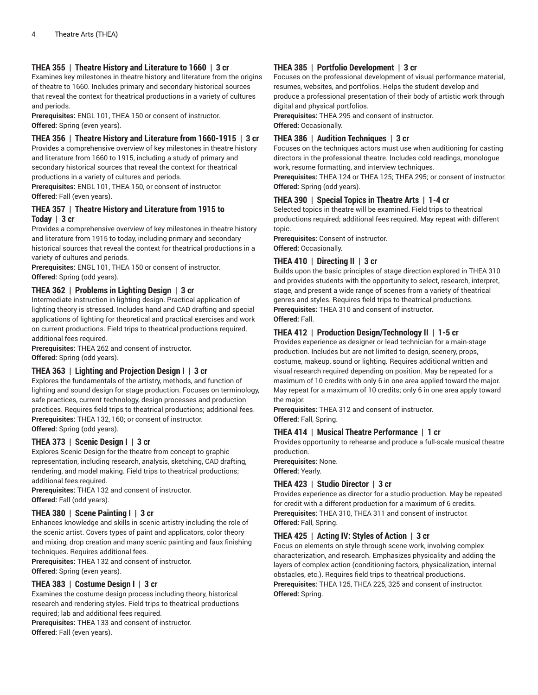# **THEA 355 | Theatre History and Literature to 1660 | 3 cr**

Examines key milestones in theatre history and literature from the origins of theatre to 1660. Includes primary and secondary historical sources that reveal the context for theatrical productions in a variety of cultures and periods.

**Prerequisites:** ENGL 101, THEA 150 or consent of instructor. **Offered:** Spring (even years).

# **THEA 356 | Theatre History and Literature from 1660-1915 | 3 cr**

Provides a comprehensive overview of key milestones in theatre history and literature from 1660 to 1915, including a study of primary and secondary historical sources that reveal the context for theatrical productions in a variety of cultures and periods.

**Prerequisites:** ENGL 101, THEA 150, or consent of instructor. **Offered:** Fall (even years).

#### **THEA 357 | Theatre History and Literature from 1915 to Today | 3 cr**

Provides a comprehensive overview of key milestones in theatre history and literature from 1915 to today, including primary and secondary historical sources that reveal the context for theatrical productions in a variety of cultures and periods.

**Prerequisites:** ENGL 101, THEA 150 or consent of instructor. **Offered:** Spring (odd years).

#### **THEA 362 | Problems in Lighting Design | 3 cr**

Intermediate instruction in lighting design. Practical application of lighting theory is stressed. Includes hand and CAD drafting and special applications of lighting for theoretical and practical exercises and work on current productions. Field trips to theatrical productions required, additional fees required.

**Prerequisites:** THEA 262 and consent of instructor. **Offered:** Spring (odd years).

# **THEA 363 | Lighting and Projection Design I | 3 cr**

Explores the fundamentals of the artistry, methods, and function of lighting and sound design for stage production. Focuses on terminology, safe practices, current technology, design processes and production practices. Requires field trips to theatrical productions; additional fees. **Prerequisites:** THEA 132, 160; or consent of instructor. **Offered:** Spring (odd years).

#### **THEA 373 | Scenic Design I | 3 cr**

Explores Scenic Design for the theatre from concept to graphic representation, including research, analysis, sketching, CAD drafting, rendering, and model making. Field trips to theatrical productions; additional fees required.

**Prerequisites:** THEA 132 and consent of instructor. **Offered:** Fall (odd years).

#### **THEA 380 | Scene Painting I | 3 cr**

Enhances knowledge and skills in scenic artistry including the role of the scenic artist. Covers types of paint and applicators, color theory and mixing, drop creation and many scenic painting and faux finishing techniques. Requires additional fees.

**Prerequisites:** THEA 132 and consent of instructor.

**Offered:** Spring (even years).

# **THEA 383 | Costume Design I | 3 cr**

Examines the costume design process including theory, historical research and rendering styles. Field trips to theatrical productions required; lab and additional fees required.

**Prerequisites:** THEA 133 and consent of instructor. **Offered:** Fall (even years).

# **THEA 385 | Portfolio Development | 3 cr**

Focuses on the professional development of visual performance material, resumes, websites, and portfolios. Helps the student develop and produce a professional presentation of their body of artistic work through digital and physical portfolios.

**Prerequisites:** THEA 295 and consent of instructor. **Offered:** Occasionally.

# **THEA 386 | Audition Techniques | 3 cr**

Focuses on the techniques actors must use when auditioning for casting directors in the professional theatre. Includes cold readings, monologue work, resume formatting, and interview techniques.

**Prerequisites:** THEA 124 or THEA 125; THEA 295; or consent of instructor. **Offered:** Spring (odd years).

#### **THEA 390 | Special Topics in Theatre Arts | 1-4 cr**

Selected topics in theatre will be examined. Field trips to theatrical productions required; additional fees required. May repeat with different topic.

**Prerequisites:** Consent of instructor. **Offered:** Occasionally.

#### **THEA 410 | Directing II | 3 cr**

Builds upon the basic principles of stage direction explored in THEA 310 and provides students with the opportunity to select, research, interpret, stage, and present a wide range of scenes from a variety of theatrical genres and styles. Requires field trips to theatrical productions. **Prerequisites:** THEA 310 and consent of instructor. **Offered:** Fall.

# **THEA 412 | Production Design/Technology II | 1-5 cr**

Provides experience as designer or lead technician for a main-stage production. Includes but are not limited to design, scenery, props, costume, makeup, sound or lighting. Requires additional written and visual research required depending on position. May be repeated for a maximum of 10 credits with only 6 in one area applied toward the major. May repeat for a maximum of 10 credits; only 6 in one area apply toward the major.

**Prerequisites:** THEA 312 and consent of instructor. **Offered:** Fall, Spring.

#### **THEA 414 | Musical Theatre Performance | 1 cr**

Provides opportunity to rehearse and produce a full-scale musical theatre production.

**Prerequisites:** None. **Offered:** Yearly.

# **THEA 423 | Studio Director | 3 cr**

Provides experience as director for a studio production. May be repeated for credit with a different production for a maximum of 6 credits. **Prerequisites:** THEA 310, THEA 311 and consent of instructor. **Offered:** Fall, Spring.

# **THEA 425 | Acting IV: Styles of Action | 3 cr**

Focus on elements on style through scene work, involving complex characterization, and research. Emphasizes physicality and adding the layers of complex action (conditioning factors, physicalization, internal obstacles, etc.). Requires field trips to theatrical productions. **Prerequisites:** THEA 125, THEA 225, 325 and consent of instructor. **Offered:** Spring.